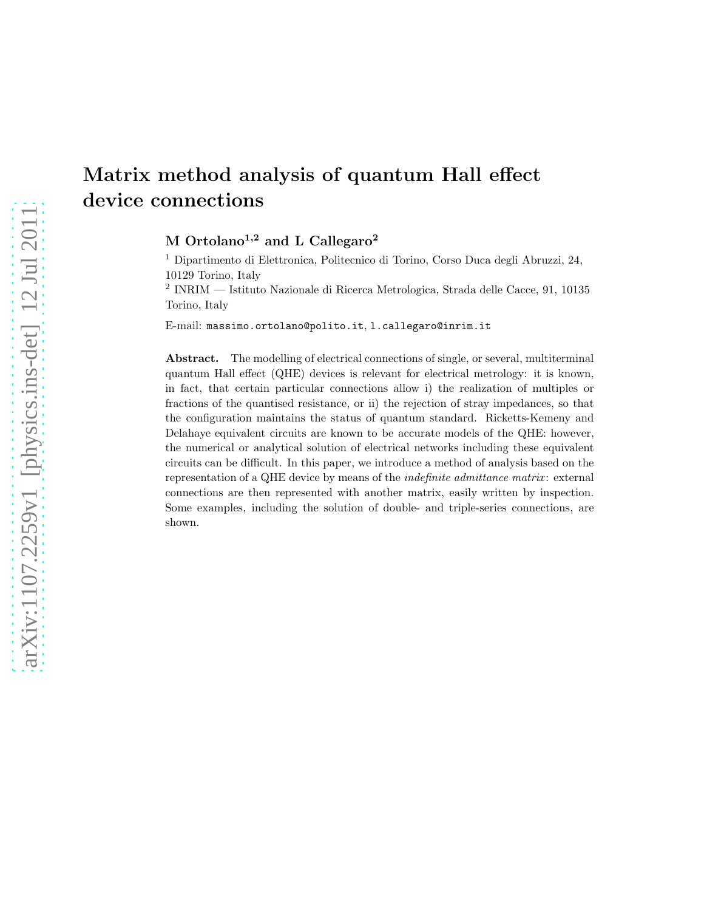# Matrix method analysis of quantum Hall effect device connections

M Ortolano<sup>1,2</sup> and L Callegaro<sup>2</sup>

<sup>1</sup> Dipartimento di Elettronica, Politecnico di Torino, Corso Duca degli Abruzzi, 24, 10129 Torino, Italy

2 INRIM — Istituto Nazionale di Ricerca Metrologica, Strada delle Cacce, 91, 10135 Torino, Italy

E-mail: massimo.ortolano@polito.it, l.callegaro@inrim.it

Abstract. The modelling of electrical connections of single, or several, multiterminal quantum Hall effect (QHE) devices is relevant for electrical metrology: it is known, in fact, that certain particular connections allow i) the realization of multiples or fractions of the quantised resistance, or ii) the rejection of stray impedances, so that the configuration maintains the status of quantum standard. Ricketts-Kemeny and Delahaye equivalent circuits are known to be accurate models of the QHE: however, the numerical or analytical solution of electrical networks including these equivalent circuits can be difficult. In this paper, we introduce a method of analysis based on the representation of a QHE device by means of the indefinite admittance matrix : external connections are then represented with another matrix, easily written by inspection. Some examples, including the solution of double- and triple-series connections, are shown.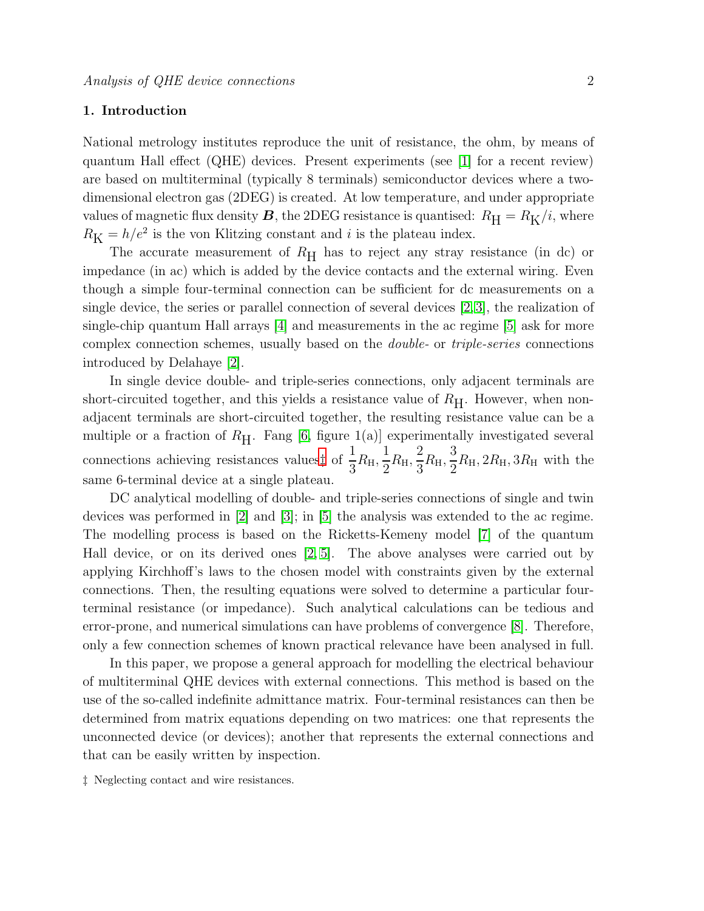# 1. Introduction

National metrology institutes reproduce the unit of resistance, the ohm, by means of quantum Hall effect (QHE) devices. Present experiments (see [\[1\]](#page-10-0) for a recent review) are based on multiterminal (typically 8 terminals) semiconductor devices where a twodimensional electron gas (2DEG) is created. At low temperature, and under appropriate values of magnetic flux density **B**, the 2DEG resistance is quantised:  $R_H = R_K/i$ , where  $R_{\rm K} = h/e^2$  is the von Klitzing constant and *i* is the plateau index.

The accurate measurement of  $R_H$  has to reject any stray resistance (in dc) or impedance (in ac) which is added by the device contacts and the external wiring. Even though a simple four-terminal connection can be sufficient for dc measurements on a single device, the series or parallel connection of several devices  $[2,3]$  $[2,3]$ , the realization of single-chip quantum Hall arrays [\[4\]](#page-11-0) and measurements in the ac regime [\[5\]](#page-11-1) ask for more complex connection schemes, usually based on the double- or triple-series connections introduced by Delahaye [\[2\]](#page-10-1).

In single device double- and triple-series connections, only adjacent terminals are short-circuited together, and this yields a resistance value of  $R_{\rm H}$ . However, when nonadjacent terminals are short-circuited together, the resulting resistance value can be a multiple or a fraction of  $R_H$ . Fang [\[6,](#page-11-2) figure 1(a)] experimentally investigated several connections achieving resistances values# of  $\frac{1}{2}$  $\frac{1}{3}R_{\rm H}$ , 1  $\frac{1}{2}R_{\rm H}$ 2  $\frac{2}{3}R_{\rm H}$ , 3  $\frac{1}{2}R_{\rm H}$ ,  $2R_{\rm H}$ ,  $3R_{\rm H}$  with the same 6-terminal device at a single plateau.

DC analytical modelling of double- and triple-series connections of single and twin devices was performed in [\[2\]](#page-10-1) and [\[3\]](#page-10-2); in [\[5\]](#page-11-1) the analysis was extended to the ac regime. The modelling process is based on the Ricketts-Kemeny model [\[7\]](#page-11-3) of the quantum Hall device, or on its derived ones  $[2, 5]$  $[2, 5]$ . The above analyses were carried out by applying Kirchhoff's laws to the chosen model with constraints given by the external connections. Then, the resulting equations were solved to determine a particular fourterminal resistance (or impedance). Such analytical calculations can be tedious and error-prone, and numerical simulations can have problems of convergence [\[8\]](#page-11-4). Therefore, only a few connection schemes of known practical relevance have been analysed in full.

In this paper, we propose a general approach for modelling the electrical behaviour of multiterminal QHE devices with external connections. This method is based on the use of the so-called indefinite admittance matrix. Four-terminal resistances can then be determined from matrix equations depending on two matrices: one that represents the unconnected device (or devices); another that represents the external connections and that can be easily written by inspection.

<span id="page-1-0"></span>‡ Neglecting contact and wire resistances.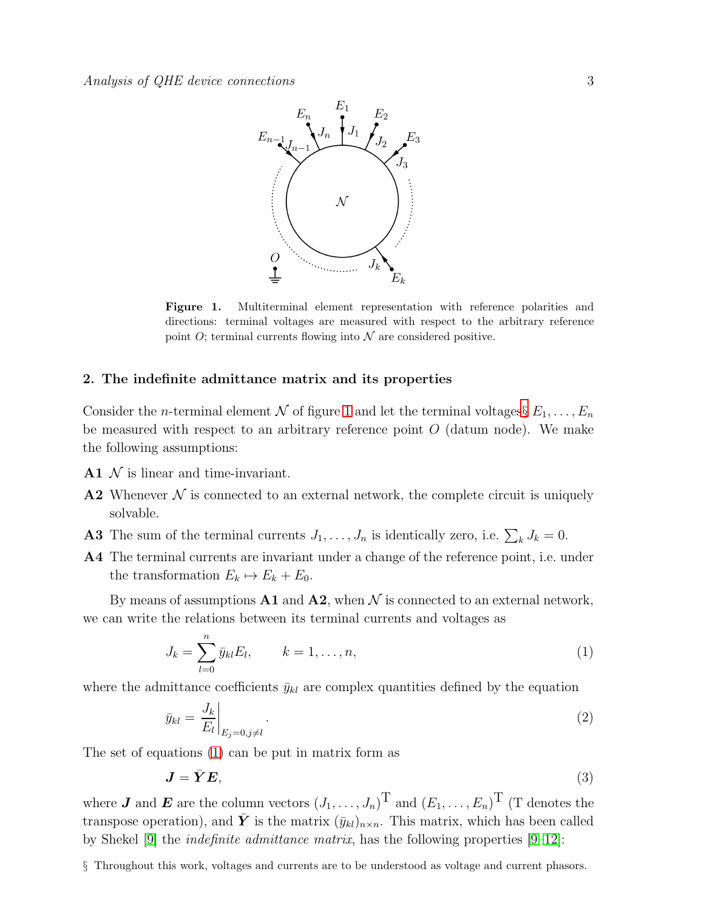

<span id="page-2-0"></span>Figure 1. Multiterminal element representation with reference polarities and directions: terminal voltages are measured with respect to the arbitrary reference point  $O$ ; terminal currents flowing into  $\mathcal N$  are considered positive.

# 2. The indefinite admittance matrix and its properties

Consider the *n*-terminal element N of figure [1](#page-2-0) and let the terminal voltages  $E_1, \ldots, E_n$ be measured with respect to an arbitrary reference point  $O$  (datum node). We make the following assumptions:

- $A1 \mathcal{N}$  is linear and time-invariant.
- A2 Whenever  $\mathcal N$  is connected to an external network, the complete circuit is uniquely solvable.
- **A3** The sum of the terminal currents  $J_1, \ldots, J_n$  is identically zero, i.e.  $\sum_k J_k = 0$ .
- A4 The terminal currents are invariant under a change of the reference point, i.e. under the transformation  $E_k \mapsto E_k + E_0$ .

By means of assumptions  $A1$  and  $A2$ , when N is connected to an external network, we can write the relations between its terminal currents and voltages as

<span id="page-2-2"></span>
$$
J_k = \sum_{l=0}^{n} \bar{y}_{kl} E_l, \qquad k = 1, \dots, n,
$$
 (1)

where the admittance coefficients  $\bar{y}_{kl}$  are complex quantities defined by the equation

$$
\bar{y}_{kl} = \left. \frac{J_k}{E_l} \right|_{E_j = 0, j \neq l}.
$$
\n
$$
(2)
$$

The set of equations [\(1\)](#page-2-2) can be put in matrix form as

$$
\mathbf{J} = \bar{\mathbf{Y}} \mathbf{E},\tag{3}
$$

where **J** and **E** are the column vectors  $(J_1, \ldots, J_n)$ <sup>T</sup> and  $(E_1, \ldots, E_n)$ <sup>T</sup> (T denotes the transpose operation), and  $\bar{Y}$  is the matrix  $(\bar{y}_{kl})_{n\times n}$ . This matrix, which has been called by Shekel [\[9\]](#page-11-5) the indefinite admittance matrix, has the following properties [\[9–](#page-11-5)[12\]](#page-11-6):

<span id="page-2-1"></span>§ Throughout this work, voltages and currents are to be understood as voltage and current phasors.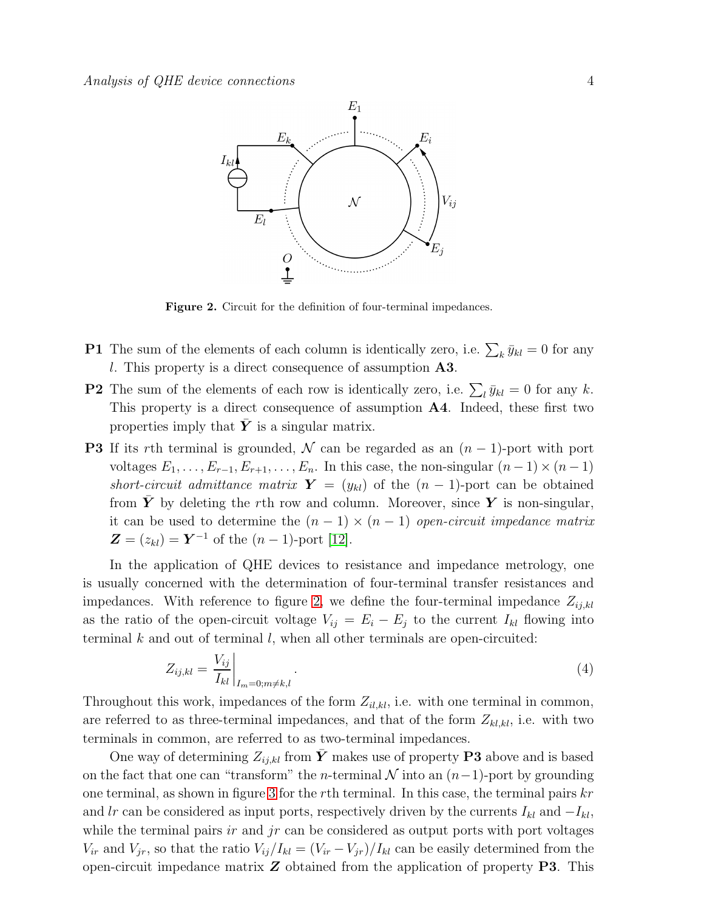

<span id="page-3-0"></span>Figure 2. Circuit for the definition of four-terminal impedances.

- **P1** The sum of the elements of each column is identically zero, i.e.  $\sum_{k} \bar{y}_{kl} = 0$  for any l. This property is a direct consequence of assumption A3.
- **P2** The sum of the elements of each row is identically zero, i.e.  $\sum_l \bar{y}_{kl} = 0$  for any k. This property is a direct consequence of assumption A4. Indeed, these first two properties imply that  $Y$  is a singular matrix.
- **P3** If its rth terminal is grounded, N can be regarded as an  $(n-1)$ -port with port voltages  $E_1, \ldots, E_{r-1}, E_{r+1}, \ldots, E_n$ . In this case, the non-singular  $(n-1) \times (n-1)$ short-circuit admittance matrix  $\mathbf{Y} = (y_{kl})$  of the  $(n-1)$ -port can be obtained from  $\overline{Y}$  by deleting the rth row and column. Moreover, since Y is non-singular, it can be used to determine the  $(n - 1) \times (n - 1)$  open-circuit impedance matrix  $\mathbf{Z} = (z_{kl}) = \mathbf{Y}^{-1}$  of the  $(n-1)$ -port [\[12\]](#page-11-6).

In the application of QHE devices to resistance and impedance metrology, one is usually concerned with the determination of four-terminal transfer resistances and impedances. With reference to figure [2,](#page-3-0) we define the four-terminal impedance  $Z_{ij,kl}$ as the ratio of the open-circuit voltage  $V_{ij} = E_i - E_j$  to the current  $I_{kl}$  flowing into terminal  $k$  and out of terminal  $l$ , when all other terminals are open-circuited:

$$
Z_{ij,kl} = \left. \frac{V_{ij}}{I_{kl}} \right|_{I_m = 0; m \neq k, l} . \tag{4}
$$

Throughout this work, impedances of the form  $Z_{il,kl}$ , i.e. with one terminal in common, are referred to as three-terminal impedances, and that of the form  $Z_{kl,kl}$ , i.e. with two terminals in common, are referred to as two-terminal impedances.

One way of determining  $Z_{i,j,kl}$  from Y makes use of property P3 above and is based on the fact that one can "transform" the *n*-terminal  $N$  into an  $(n-1)$ -port by grounding one terminal, as shown in figure [3](#page-4-0) for the rth terminal. In this case, the terminal pairs  $kr$ and lr can be considered as input ports, respectively driven by the currents  $I_{kl}$  and  $-I_{kl}$ , while the terminal pairs ir and  $jr$  can be considered as output ports with port voltages  $V_{ir}$  and  $V_{jr}$ , so that the ratio  $V_{ij}/I_{kl} = (V_{ir} - V_{jr})/I_{kl}$  can be easily determined from the open-circuit impedance matrix  $Z$  obtained from the application of property P3. This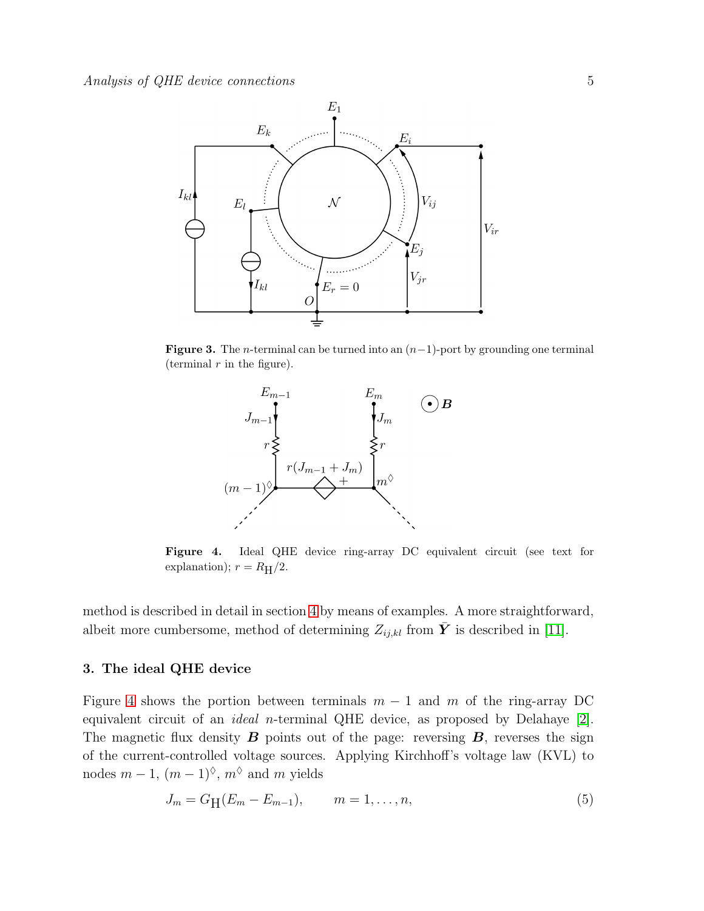

**Figure 3.** The *n*-terminal can be turned into an  $(n-1)$ -port by grounding one terminal (terminal  $r$  in the figure).

<span id="page-4-0"></span>

<span id="page-4-1"></span>Figure 4. Ideal QHE device ring-array DC equivalent circuit (see text for explanation);  $r = R_H/2$ .

method is described in detail in section [4](#page-5-0) by means of examples. A more straightforward, albeit more cumbersome, method of determining  $Z_{ij,kl}$  from  $\bar{Y}$  is described in [\[11\]](#page-11-7).

#### 3. The ideal QHE device

Figure [4](#page-4-1) shows the portion between terminals  $m-1$  and m of the ring-array DC equivalent circuit of an ideal n-terminal QHE device, as proposed by Delahaye [\[2\]](#page-10-1). The magnetic flux density  $\bm{B}$  points out of the page: reversing  $\bm{B}$ , reverses the sign of the current-controlled voltage sources. Applying Kirchhoff's voltage law (KVL) to nodes  $m-1$ ,  $(m-1)^\lozenge$ ,  $m^\lozenge$  and m yields

$$
J_m = G_H(E_m - E_{m-1}), \qquad m = 1, \dots, n,
$$
\n(5)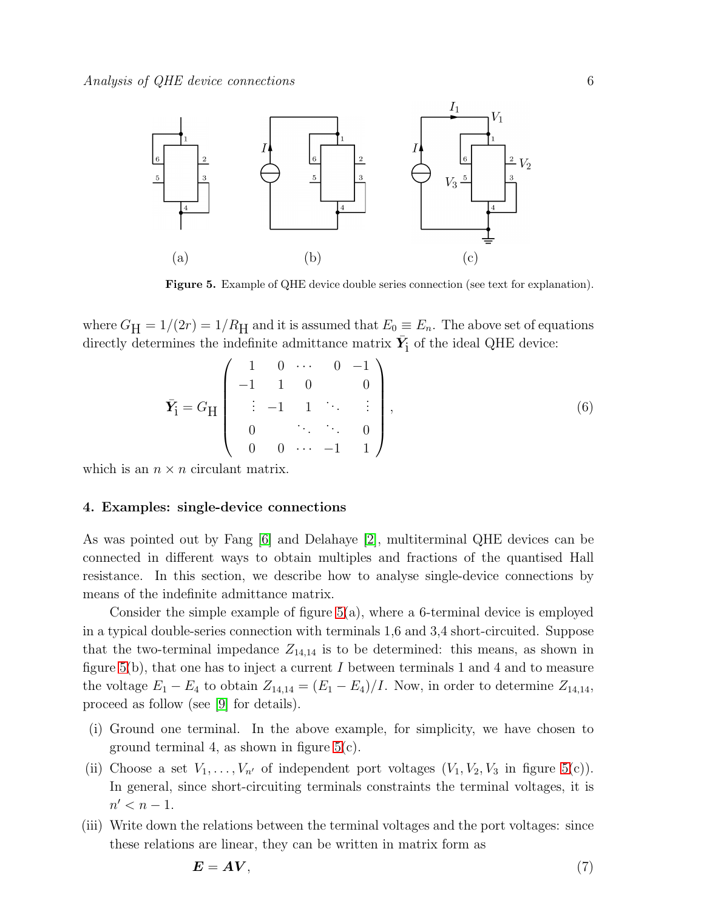

<span id="page-5-1"></span>Figure 5. Example of QHE device double series connection (see text for explanation).

where  $G_H = 1/(2r) = 1/R_H$  and it is assumed that  $E_0 \equiv E_n$ . The above set of equations directly determines the indefinite admittance matrix  $\bar{Y}_i$  of the ideal QHE device:

<span id="page-5-2"></span>
$$
\bar{\mathbf{Y}}_{\mathbf{i}} = G_{\mathbf{H}} \begin{pmatrix} 1 & 0 & \cdots & 0 & -1 \\ -1 & 1 & 0 & & 0 \\ \vdots & -1 & 1 & \ddots & \vdots \\ 0 & & \ddots & \ddots & 0 \\ 0 & 0 & \cdots & -1 & 1 \end{pmatrix}, \tag{6}
$$

<span id="page-5-0"></span>which is an  $n \times n$  circulant matrix.

## 4. Examples: single-device connections

As was pointed out by Fang [\[6\]](#page-11-2) and Delahaye [\[2\]](#page-10-1), multiterminal QHE devices can be connected in different ways to obtain multiples and fractions of the quantised Hall resistance. In this section, we describe how to analyse single-device connections by means of the indefinite admittance matrix.

Consider the simple example of figure  $5(a)$ , where a 6-terminal device is employed in a typical double-series connection with terminals 1,6 and 3,4 short-circuited. Suppose that the two-terminal impedance  $Z_{14,14}$  is to be determined: this means, as shown in figure [5\(](#page-5-1)b), that one has to inject a current I between terminals 1 and 4 and to measure the voltage  $E_1 - E_4$  to obtain  $Z_{14,14} = (E_1 - E_4)/I$ . Now, in order to determine  $Z_{14,14}$ , proceed as follow (see [\[9\]](#page-11-5) for details).

- (i) Ground one terminal. In the above example, for simplicity, we have chosen to ground terminal 4, as shown in figure  $5(c)$ .
- (ii) Choose a set  $V_1, \ldots, V_{n'}$  of independent port voltages  $(V_1, V_2, V_3$  in figure  $5(c)$ ). In general, since short-circuiting terminals constraints the terminal voltages, it is  $n' < n - 1$ .
- (iii) Write down the relations between the terminal voltages and the port voltages: since these relations are linear, they can be written in matrix form as

$$
E = AV, \tag{7}
$$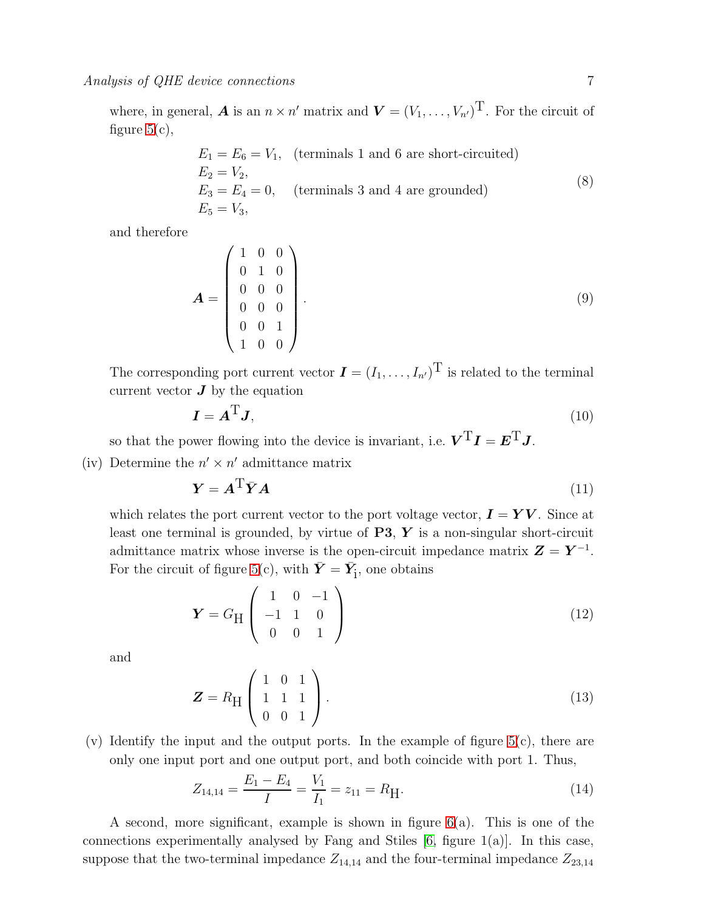where, in general, **A** is an  $n \times n'$  matrix and  $\boldsymbol{V} = (V_1, \ldots, V_{n'})^{\text{T}}$ . For the circuit of figure  $5(c)$ ,

$$
E_1 = E_6 = V_1, \text{ (terminals 1 and 6 are short-circuited)}
$$
  
\n
$$
E_2 = V_2,
$$
  
\n
$$
E_3 = E_4 = 0, \text{ (terminals 3 and 4 are grounded)}
$$
  
\n
$$
E_5 = V_3,
$$
\n(8)

and therefore

$$
\mathbf{A} = \begin{pmatrix} 1 & 0 & 0 \\ 0 & 1 & 0 \\ 0 & 0 & 0 \\ 0 & 0 & 0 \\ 0 & 0 & 1 \\ 1 & 0 & 0 \end{pmatrix} . \tag{9}
$$

The corresponding port current vector  $\mathbf{I} = (I_1, \ldots, I_{n'})^{\text{T}}$  is related to the terminal current vector  $\boldsymbol{J}$  by the equation

$$
I = A^{\mathrm{T}}J,\tag{10}
$$

so that the power flowing into the device is invariant, i.e.  $\boldsymbol{V}^{\mathrm{T}}\boldsymbol{I} = \boldsymbol{E}^{\mathrm{T}}\boldsymbol{J}$ .

(iv) Determine the  $n' \times n'$  admittance matrix

<span id="page-6-0"></span>
$$
Y = A^{\mathrm{T}} \bar{Y} A \tag{11}
$$

which relates the port current vector to the port voltage vector,  $\mathbf{I} = \mathbf{Y}\mathbf{V}$ . Since at least one terminal is grounded, by virtue of  $P3$ ,  $Y$  is a non-singular short-circuit admittance matrix whose inverse is the open-circuit impedance matrix  $\mathbf{Z} = \mathbf{Y}^{-1}$ . For the circuit of figure [5\(](#page-5-1)c), with  $\bar{Y} = \bar{Y}_i$ , one obtains

$$
\mathbf{Y} = G_{\mathrm{H}} \begin{pmatrix} 1 & 0 & -1 \\ -1 & 1 & 0 \\ 0 & 0 & 1 \end{pmatrix} \tag{12}
$$

and

$$
\mathbf{Z} = R_{\rm H} \begin{pmatrix} 1 & 0 & 1 \\ 1 & 1 & 1 \\ 0 & 0 & 1 \end{pmatrix} . \tag{13}
$$

 $(v)$  Identify the input and the output ports. In the example of figure  $5(c)$ , there are only one input port and one output port, and both coincide with port 1. Thus,

$$
Z_{14,14} = \frac{E_1 - E_4}{I} = \frac{V_1}{I_1} = z_{11} = R_{\text{H}}.
$$
\n(14)

A second, more significant, example is shown in figure  $6(a)$ . This is one of the connections experimentally analysed by Fang and Stiles  $[6, \text{ figure } 1(a)]$ . In this case, suppose that the two-terminal impedance  $Z_{14,14}$  and the four-terminal impedance  $Z_{23,14}$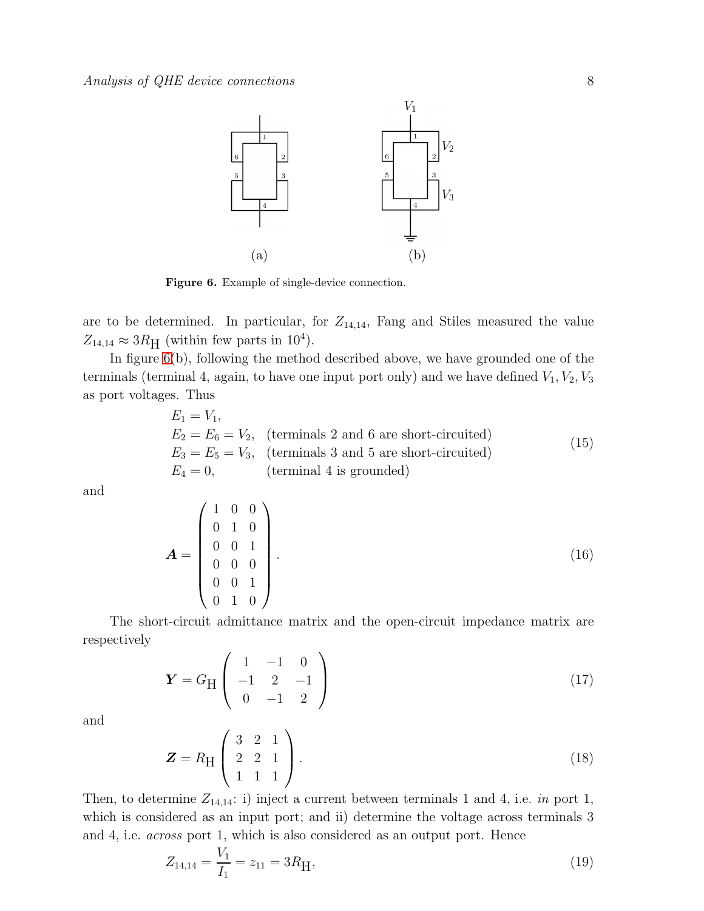

<span id="page-7-0"></span>Figure 6. Example of single-device connection.

are to be determined. In particular, for  $Z_{14,14}$ , Fang and Stiles measured the value  $Z_{14,14} \approx 3R_{\text{H}}$  (within few parts in 10<sup>4</sup>).

In figure [6\(](#page-7-0)b), following the method described above, we have grounded one of the terminals (terminal 4, again, to have one input port only) and we have defined  $V_1, V_2, V_3$ as port voltages. Thus

$$
E_1 = V_1,
$$
  
\n
$$
E_2 = E_6 = V_2,
$$
 (terminals 2 and 6 are short-circuited)  
\n
$$
E_3 = E_5 = V_3,
$$
 (terminals 3 and 5 are short-circuited)  
\n
$$
E_4 = 0,
$$
 (terminal 4 is grounded) (15)

and

$$
\mathbf{A} = \begin{pmatrix} 1 & 0 & 0 \\ 0 & 1 & 0 \\ 0 & 0 & 1 \\ 0 & 0 & 0 \\ 0 & 1 & 0 \end{pmatrix} . \tag{16}
$$

The short-circuit admittance matrix and the open-circuit impedance matrix are respectively

$$
\mathbf{Y} = G_{\rm H} \begin{pmatrix} 1 & -1 & 0 \\ -1 & 2 & -1 \\ 0 & -1 & 2 \end{pmatrix} \tag{17}
$$

and

$$
\mathbf{Z} = R_{\rm H} \begin{pmatrix} 3 & 2 & 1 \\ 2 & 2 & 1 \\ 1 & 1 & 1 \end{pmatrix} . \tag{18}
$$

Then, to determine  $Z_{14,14}$ : i) inject a current between terminals 1 and 4, i.e. in port 1, which is considered as an input port; and ii) determine the voltage across terminals 3 and 4, i.e. across port 1, which is also considered as an output port. Hence

$$
Z_{14,14} = \frac{V_1}{I_1} = z_{11} = 3R_{\text{H}},\tag{19}
$$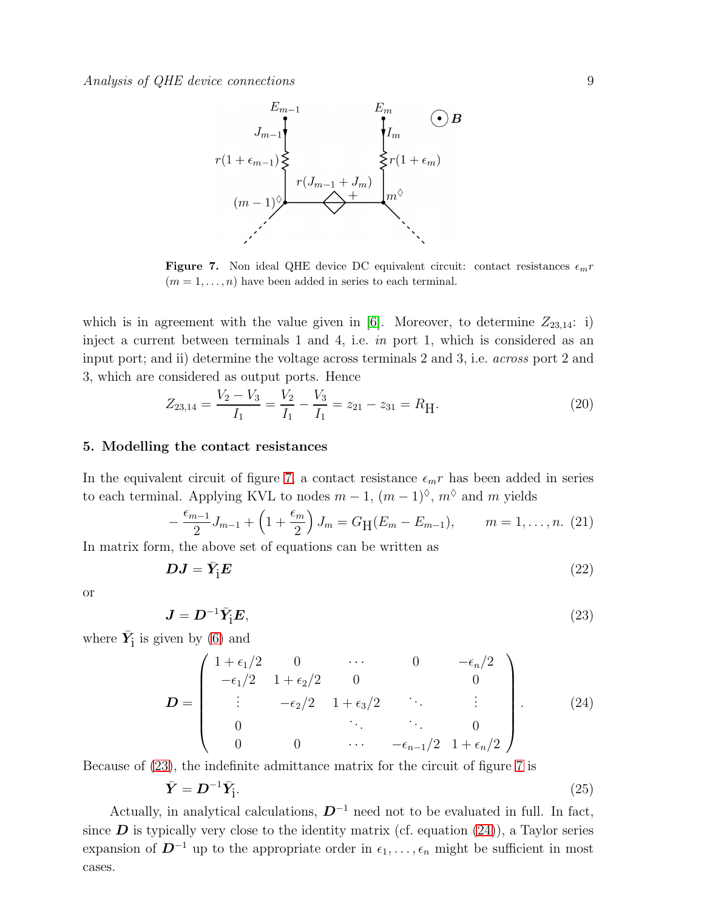Analysis of QHE device connections 9



<span id="page-8-0"></span>**Figure 7.** Non ideal QHE device DC equivalent circuit: contact resistances  $\epsilon_m r$  $(m = 1, \ldots, n)$  have been added in series to each terminal.

which is in agreement with the value given in [\[6\]](#page-11-2). Moreover, to determine  $Z_{23,14}$ : i) inject a current between terminals 1 and 4, i.e. in port 1, which is considered as an input port; and ii) determine the voltage across terminals 2 and 3, i.e. across port 2 and 3, which are considered as output ports. Hence

$$
Z_{23,14} = \frac{V_2 - V_3}{I_1} = \frac{V_2}{I_1} - \frac{V_3}{I_1} = z_{21} - z_{31} = R_{\text{H}}.
$$
\n
$$
(20)
$$

# 5. Modelling the contact resistances

In the equivalent circuit of figure [7,](#page-8-0) a contact resistance  $\epsilon_m r$  has been added in series to each terminal. Applying KVL to nodes  $m-1$ ,  $(m-1)^{\lozenge}$ ,  $m^{\lozenge}$  and m yields

$$
-\frac{\epsilon_{m-1}}{2}J_{m-1} + \left(1 + \frac{\epsilon_m}{2}\right)J_m = G_H(E_m - E_{m-1}), \qquad m = 1, \ldots, n. (21)
$$

In matrix form, the above set of equations can be written as

$$
DJ = \bar{Y}_1 E \tag{22}
$$

or

<span id="page-8-1"></span>
$$
\mathbf{J} = \mathbf{D}^{-1} \bar{\mathbf{Y}}_{\mathbf{i}} \mathbf{E},\tag{23}
$$

where  $\bar{Y}_i$  is given by [\(6\)](#page-5-2) and

<span id="page-8-2"></span>
$$
\mathbf{D} = \begin{pmatrix} 1 + \epsilon_1/2 & 0 & \cdots & 0 & -\epsilon_n/2 \\ -\epsilon_1/2 & 1 + \epsilon_2/2 & 0 & 0 \\ \vdots & -\epsilon_2/2 & 1 + \epsilon_3/2 & \ddots & \vdots \\ 0 & \cdots & \cdots & 0 \\ 0 & 0 & \cdots & -\epsilon_{n-1}/2 & 1 + \epsilon_n/2 \end{pmatrix}
$$
 (24)

Because of [\(23\)](#page-8-1), the indefinite admittance matrix for the circuit of figure [7](#page-8-0) is

<span id="page-8-3"></span>
$$
\bar{Y} = D^{-1}\bar{Y}_i. \tag{25}
$$

Actually, in analytical calculations,  $D^{-1}$  need not to be evaluated in full. In fact, since  $\bf{D}$  is typically very close to the identity matrix (cf. equation [\(24\)](#page-8-2)), a Taylor series expansion of  $D^{-1}$  up to the appropriate order in  $\epsilon_1, \ldots, \epsilon_n$  might be sufficient in most cases.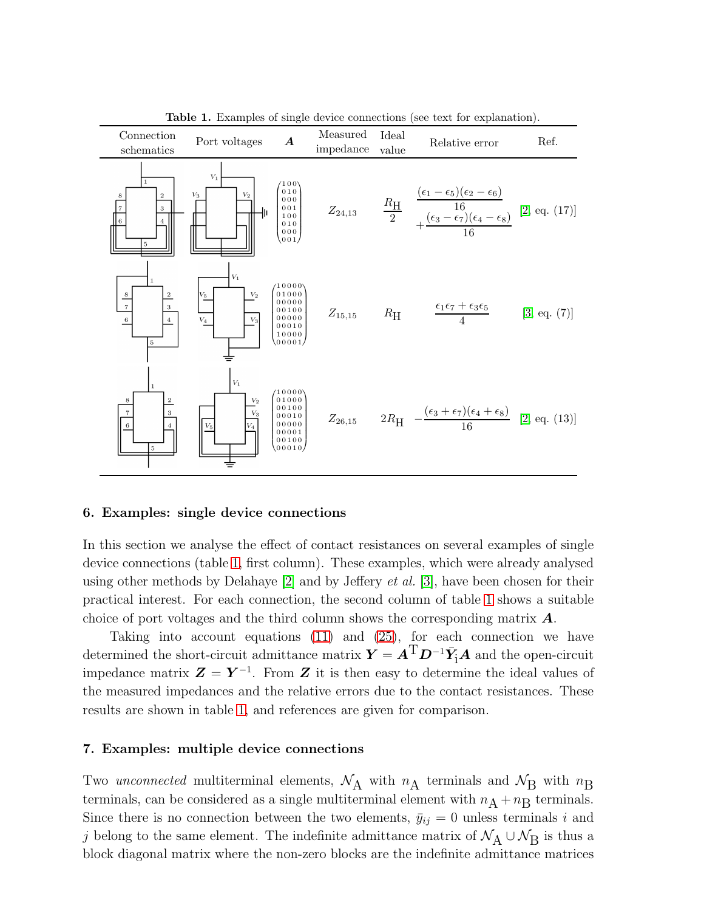| Connection<br>schematics                                               | Port voltages                                                   | $\boldsymbol{A}$                                                              | Measured<br>impedance | Ideal<br>value | Relative error                                                                                                                       | Ref.         |
|------------------------------------------------------------------------|-----------------------------------------------------------------|-------------------------------------------------------------------------------|-----------------------|----------------|--------------------------------------------------------------------------------------------------------------------------------------|--------------|
| $\mathbf{1}$<br>$\overline{2}$<br>3<br>5                               | $V_1$<br>$\mathcal{V}_3$<br>$\scriptstyle{V_2}$                 | (100)<br>010<br>000<br>$0\,0\,1$<br>100<br>010<br>000<br>001/                 |                       |                | $Z_{24,13}$ $\frac{R_{\text{H}}}{2}$ $\frac{(\epsilon_1 - \epsilon_5)(\epsilon_2 - \epsilon_6)}{16}$ [2, eq. (17)]<br>$\frac{1}{16}$ |              |
| $\,$ 8 $\,$<br>$\overline{\tau}$<br>3<br>$\,$ 6<br>$\overline{4}$<br>5 | $ V_1 $<br>$V_5$<br>$V_2$<br>$\ensuremath{V_4}\xspace$<br>$V_3$ | $\binom{10000}{01000}$<br>00000<br>00100<br>00000<br>00010<br>10000<br>00001/ | $Z_{15,15}$           | $R_{\rm H}$    | $\frac{\epsilon_1\epsilon_7+\epsilon_3\epsilon_5}{4}$                                                                                | [3, eq. (7)] |
| 1<br>8<br>$\bar{\tau}$<br>3<br>$\overline{6}$<br>5                     | $V_1$<br>$V_2$<br>$V_3$<br>$V_5$                                | (10000)<br>01000<br>00100<br>00010<br>00000<br>00001<br>00100<br>00010        | $Z_{26,15}$           |                | $2R_{\rm H}$ $-\frac{(\epsilon_3+\epsilon_7)(\epsilon_4+\epsilon_8)}{16}$ [2, eq. (13)]                                              |              |

<span id="page-9-0"></span>Table 1. Examples of single device connections (see text for explanation).

#### 6. Examples: single device connections

In this section we analyse the effect of contact resistances on several examples of single device connections (table [1,](#page-9-0) first column). These examples, which were already analysed using other methods by Delahaye  $[2]$  and by Jeffery *et al.* [\[3\]](#page-10-2), have been chosen for their practical interest. For each connection, the second column of table [1](#page-9-0) shows a suitable choice of port voltages and the third column shows the corresponding matrix A.

Taking into account equations [\(11\)](#page-6-0) and [\(25\)](#page-8-3), for each connection we have determined the short-circuit admittance matrix  $\bm{Y} = \bm{A}^{\text{T}}\bm{D}^{-1}\bar{\bm{Y}}_{\!\!1}\bm{A}$  and the open-circuit impedance matrix  $\mathbf{Z} = \mathbf{Y}^{-1}$ . From  $\mathbf{Z}$  it is then easy to determine the ideal values of the measured impedances and the relative errors due to the contact resistances. These results are shown in table [1,](#page-9-0) and references are given for comparison.

# 7. Examples: multiple device connections

Two unconnected multiterminal elements,  $\mathcal{N}_A$  with  $n_A$  terminals and  $\mathcal{N}_B$  with  $n_B$ terminals, can be considered as a single multiterminal element with  $n_A + n_B$  terminals. Since there is no connection between the two elements,  $\bar{y}_{ij} = 0$  unless terminals i and j belong to the same element. The indefinite admittance matrix of  $\mathcal{N}_A \cup \mathcal{N}_B$  is thus a block diagonal matrix where the non-zero blocks are the indefinite admittance matrices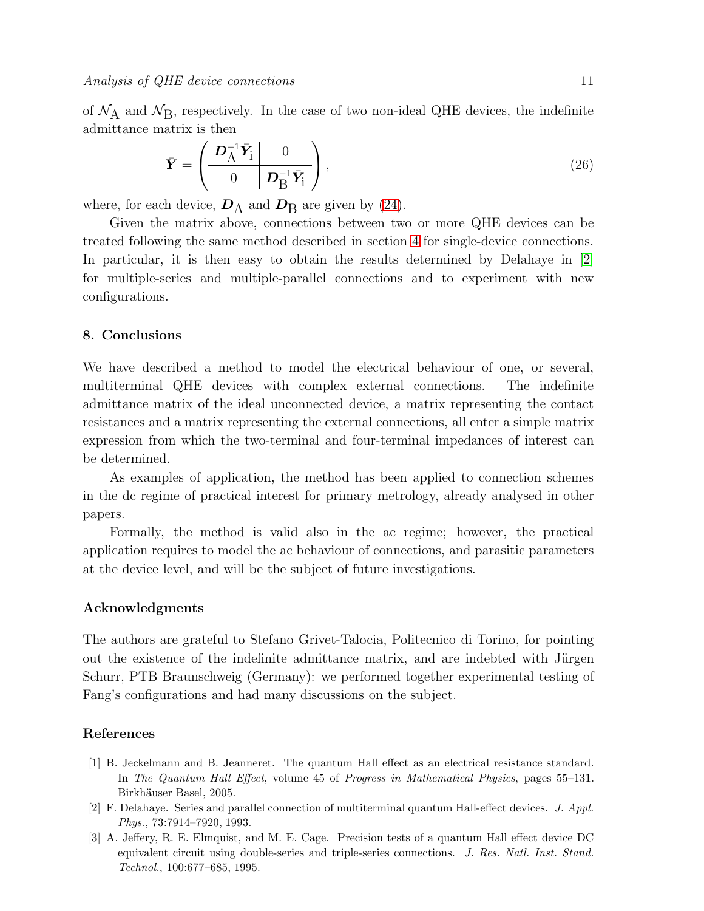of  $\mathcal{N}_A$  and  $\mathcal{N}_B$ , respectively. In the case of two non-ideal QHE devices, the indefinite admittance matrix is then

$$
\bar{Y} = \left(\begin{array}{cc} \mathbf{D}_{\mathrm{A}}^{-1} \bar{Y}_{\mathrm{i}} & 0\\ 0 & \mathbf{D}_{\mathrm{B}}^{-1} \bar{Y}_{\mathrm{i}} \end{array}\right),\tag{26}
$$

where, for each device,  $\mathbf{D}_{\rm A}$  and  $\mathbf{D}_{\rm B}$  are given by [\(24\)](#page-8-2).

Given the matrix above, connections between two or more QHE devices can be treated following the same method described in section [4](#page-5-0) for single-device connections. In particular, it is then easy to obtain the results determined by Delahaye in [\[2\]](#page-10-1) for multiple-series and multiple-parallel connections and to experiment with new configurations.

## 8. Conclusions

We have described a method to model the electrical behaviour of one, or several, multiterminal QHE devices with complex external connections. The indefinite admittance matrix of the ideal unconnected device, a matrix representing the contact resistances and a matrix representing the external connections, all enter a simple matrix expression from which the two-terminal and four-terminal impedances of interest can be determined.

As examples of application, the method has been applied to connection schemes in the dc regime of practical interest for primary metrology, already analysed in other papers.

Formally, the method is valid also in the ac regime; however, the practical application requires to model the ac behaviour of connections, and parasitic parameters at the device level, and will be the subject of future investigations.

## Acknowledgments

The authors are grateful to Stefano Grivet-Talocia, Politecnico di Torino, for pointing out the existence of the indefinite admittance matrix, and are indebted with Jürgen Schurr, PTB Braunschweig (Germany): we performed together experimental testing of Fang's configurations and had many discussions on the subject.

# <span id="page-10-0"></span>References

- [1] B. Jeckelmann and B. Jeanneret. The quantum Hall effect as an electrical resistance standard. In The Quantum Hall Effect, volume 45 of Progress in Mathematical Physics, pages 55–131. Birkhäuser Basel, 2005.
- <span id="page-10-1"></span>[2] F. Delahaye. Series and parallel connection of multiterminal quantum Hall-effect devices. J. Appl. Phys., 73:7914–7920, 1993.
- <span id="page-10-2"></span>[3] A. Jeffery, R. E. Elmquist, and M. E. Cage. Precision tests of a quantum Hall effect device DC equivalent circuit using double-series and triple-series connections. J. Res. Natl. Inst. Stand. Technol., 100:677–685, 1995.